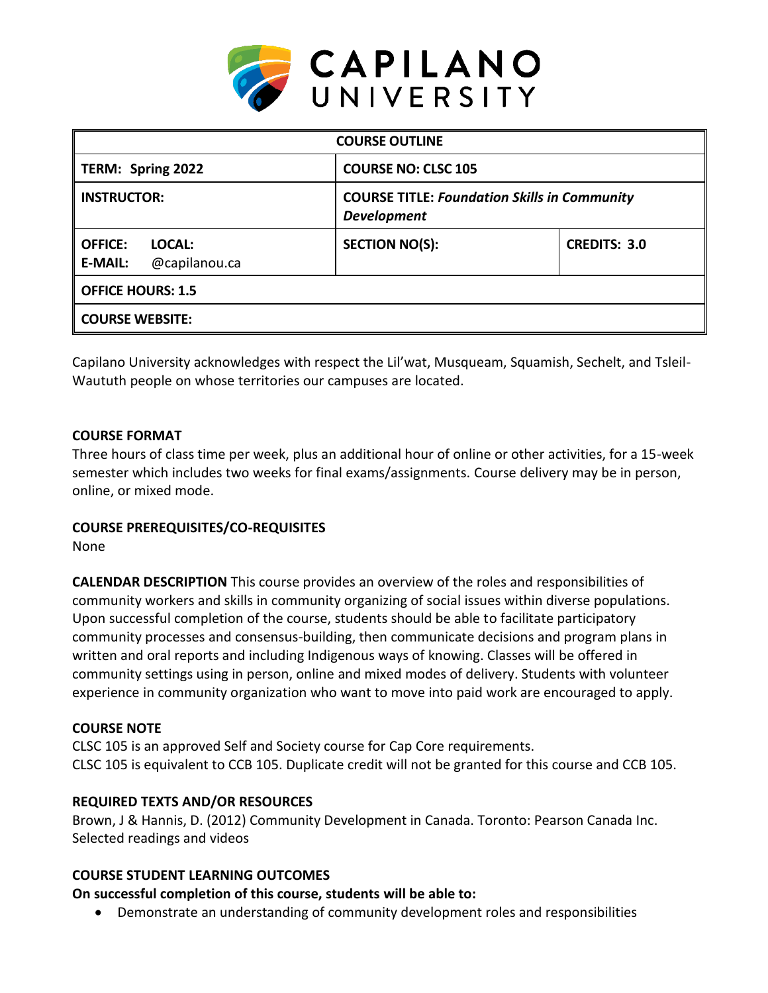

| <b>COURSE OUTLINE</b>                                       |                                                                           |                     |  |  |  |
|-------------------------------------------------------------|---------------------------------------------------------------------------|---------------------|--|--|--|
| TERM: Spring 2022                                           | <b>COURSE NO: CLSC 105</b>                                                |                     |  |  |  |
| <b>INSTRUCTOR:</b>                                          | <b>COURSE TITLE: Foundation Skills in Community</b><br><b>Development</b> |                     |  |  |  |
| <b>OFFICE:</b><br>LOCAL:<br>@capilanou.ca<br><b>E-MAIL:</b> | <b>SECTION NO(S):</b>                                                     | <b>CREDITS: 3.0</b> |  |  |  |
| <b>OFFICE HOURS: 1.5</b>                                    |                                                                           |                     |  |  |  |
| <b>COURSE WEBSITE:</b>                                      |                                                                           |                     |  |  |  |

Capilano University acknowledges with respect the Lil'wat, Musqueam, Squamish, Sechelt, and Tsleil-Waututh people on whose territories our campuses are located.

### **COURSE FORMAT**

Three hours of class time per week, plus an additional hour of online or other activities, for a 15-week semester which includes two weeks for final exams/assignments. Course delivery may be in person, online, or mixed mode.

### **COURSE PREREQUISITES/CO-REQUISITES**

None

**CALENDAR DESCRIPTION** This course provides an overview of the roles and responsibilities of community workers and skills in community organizing of social issues within diverse populations. Upon successful completion of the course, students should be able to facilitate participatory community processes and consensus-building, then communicate decisions and program plans in written and oral reports and including Indigenous ways of knowing. Classes will be offered in community settings using in person, online and mixed modes of delivery. Students with volunteer experience in community organization who want to move into paid work are encouraged to apply.

#### **COURSE NOTE**

CLSC 105 is an approved Self and Society course for Cap Core requirements. CLSC 105 is equivalent to CCB 105. Duplicate credit will not be granted for this course and CCB 105.

### **REQUIRED TEXTS AND/OR RESOURCES**

Brown, J & Hannis, D. (2012) Community Development in Canada. Toronto: Pearson Canada Inc. Selected readings and videos

### **COURSE STUDENT LEARNING OUTCOMES**

**On successful completion of this course, students will be able to:**

Demonstrate an understanding of community development roles and responsibilities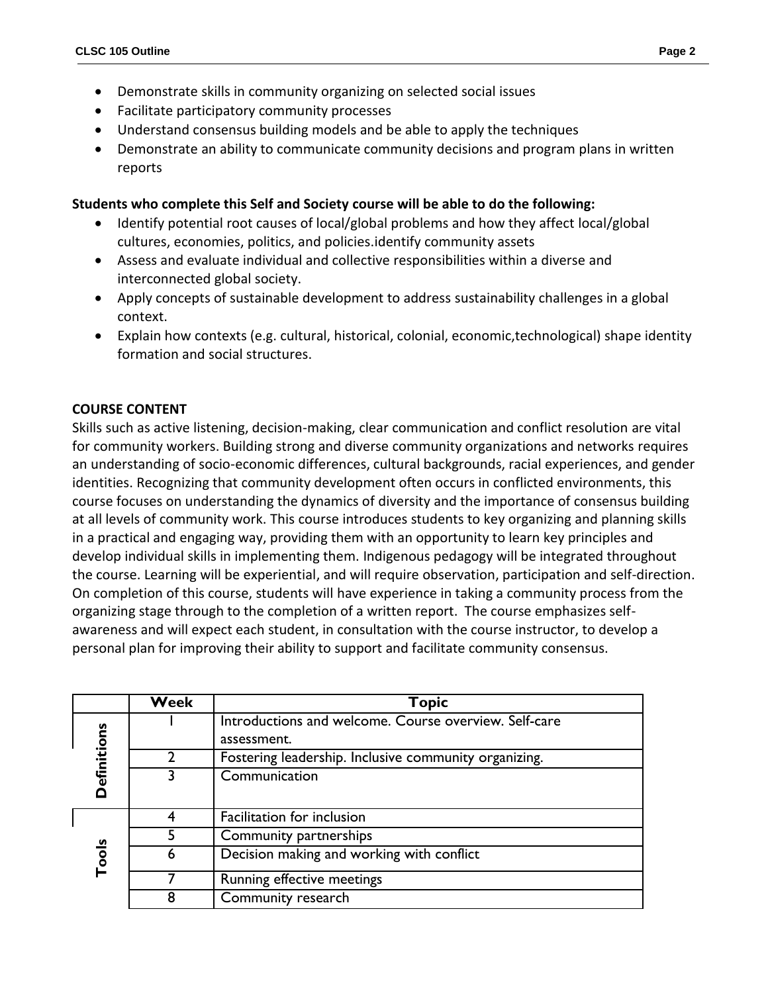- Demonstrate skills in community organizing on selected social issues
- Facilitate participatory community processes
- Understand consensus building models and be able to apply the techniques
- Demonstrate an ability to communicate community decisions and program plans in written reports

### **Students who complete this Self and Society course will be able to do the following:**

- Identify potential root causes of local/global problems and how they affect local/global cultures, economies, politics, and policies.identify community assets
- Assess and evaluate individual and collective responsibilities within a diverse and interconnected global society.
- Apply concepts of sustainable development to address sustainability challenges in a global context.
- Explain how contexts (e.g. cultural, historical, colonial, economic,technological) shape identity formation and social structures.

### **COURSE CONTENT**

Skills such as active listening, decision-making, clear communication and conflict resolution are vital for community workers. Building strong and diverse community organizations and networks requires an understanding of socio-economic differences, cultural backgrounds, racial experiences, and gender identities. Recognizing that community development often occurs in conflicted environments, this course focuses on understanding the dynamics of diversity and the importance of consensus building at all levels of community work. This course introduces students to key organizing and planning skills in a practical and engaging way, providing them with an opportunity to learn key principles and develop individual skills in implementing them. Indigenous pedagogy will be integrated throughout the course. Learning will be experiential, and will require observation, participation and self-direction. On completion of this course, students will have experience in taking a community process from the organizing stage through to the completion of a written report. The course emphasizes selfawareness and will expect each student, in consultation with the course instructor, to develop a personal plan for improving their ability to support and facilitate community consensus.

|             | Week | <b>Topic</b>                                                         |
|-------------|------|----------------------------------------------------------------------|
|             |      | Introductions and welcome. Course overview. Self-care<br>assessment. |
|             |      | Fostering leadership. Inclusive community organizing.                |
| Definitions |      | Communication                                                        |
|             |      | Facilitation for inclusion                                           |
|             |      | Community partnerships                                               |
| Tools       | 6    | Decision making and working with conflict                            |
|             |      | Running effective meetings                                           |
|             |      | Community research                                                   |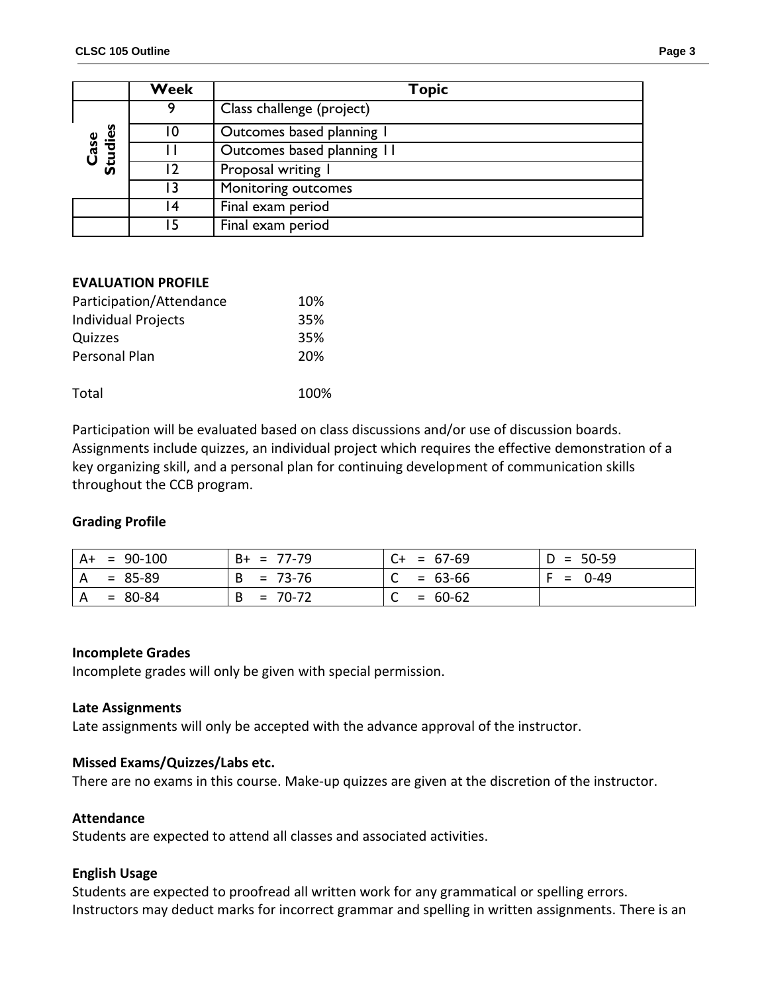|                 | Week | <b>Topic</b>               |  |
|-----------------|------|----------------------------|--|
|                 | q    | Class challenge (project)  |  |
|                 | 10   | Outcomes based planning I  |  |
| Studies<br>Case |      | Outcomes based planning 11 |  |
|                 |      | Proposal writing I         |  |
|                 | ا ?  | Monitoring outcomes        |  |
|                 | 14   | Final exam period          |  |
|                 | 15   | Final exam period          |  |

#### **EVALUATION PROFILE**

| Participation/Attendance   | 10%  |
|----------------------------|------|
| <b>Individual Projects</b> | 35%  |
| Quizzes                    | 35%  |
| Personal Plan              | 20%  |
| Total                      | 100% |
|                            |      |

Participation will be evaluated based on class discussions and/or use of discussion boards. Assignments include quizzes, an individual project which requires the effective demonstration of a key organizing skill, and a personal plan for continuing development of communication skills throughout the CCB program.

#### **Grading Profile**

| $A+ = 90-100$             | $B+ = 77-79$   | $ C+ = 67-69 $ | $D = 50-59$ |
|---------------------------|----------------|----------------|-------------|
| $A = 85-89$               | $= 73-76$<br>B | $= 63-66$      | $F = 0-49$  |
| $= 80-84$<br>$^{\circ}$ A | $= 70-72$<br>B | $= 60-62$      |             |

#### **Incomplete Grades**

Incomplete grades will only be given with special permission.

#### **Late Assignments**

Late assignments will only be accepted with the advance approval of the instructor.

### **Missed Exams/Quizzes/Labs etc.**

There are no exams in this course. Make-up quizzes are given at the discretion of the instructor.

#### **Attendance**

Students are expected to attend all classes and associated activities.

#### **English Usage**

Students are expected to proofread all written work for any grammatical or spelling errors. Instructors may deduct marks for incorrect grammar and spelling in written assignments. There is an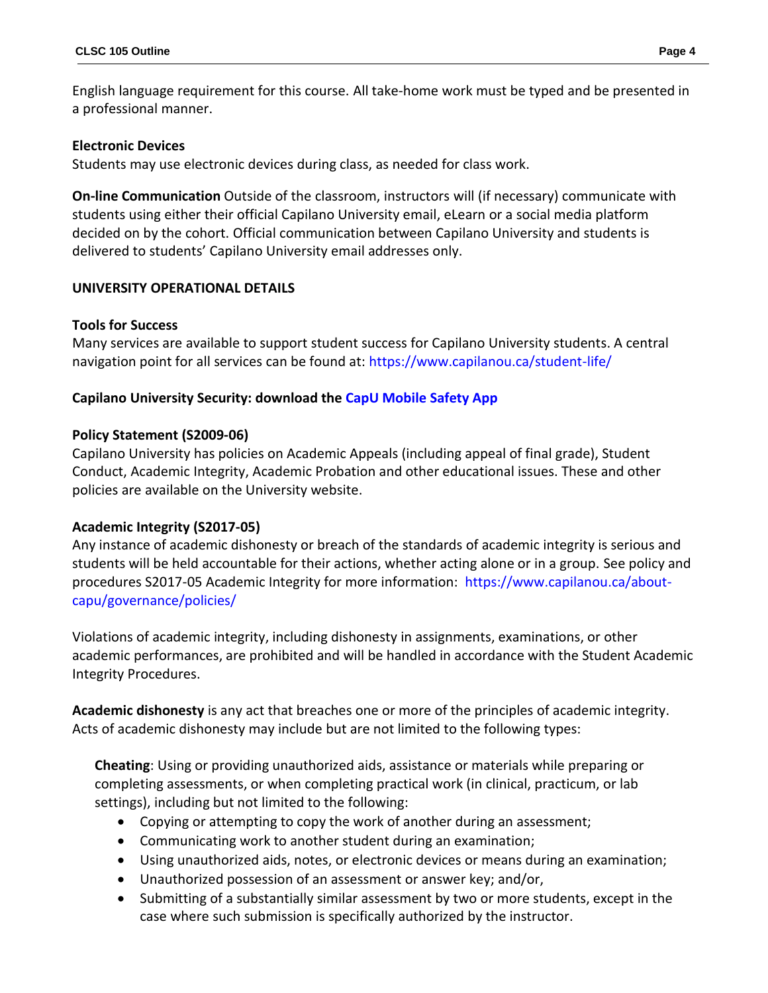English language requirement for this course. All take-home work must be typed and be presented in a professional manner.

## **Electronic Devices**

Students may use electronic devices during class, as needed for class work.

**On-line Communication** Outside of the classroom, instructors will (if necessary) communicate with students using either their official Capilano University email, eLearn or a social media platform decided on by the cohort. Official communication between Capilano University and students is delivered to students' Capilano University email addresses only.

# **UNIVERSITY OPERATIONAL DETAILS**

### **Tools for Success**

Many services are available to support student success for Capilano University students. A central navigation point for all services can be found at:<https://www.capilanou.ca/student-life/>

# **Capilano University Security: download the [CapU Mobile Safety App](https://www.capilanou.ca/student-life/support--wellness/safety--security/capu-safe-app/)**

### **Policy Statement (S2009-06)**

Capilano University has policies on Academic Appeals (including appeal of final grade), Student Conduct, Academic Integrity, Academic Probation and other educational issues. These and other policies are available on the University website.

### **Academic Integrity (S2017-05)**

Any instance of academic dishonesty or breach of the standards of academic integrity is serious and students will be held accountable for their actions, whether acting alone or in a group. See policy and procedures S2017-05 Academic Integrity for more information: [https://www.capilanou.ca/about](https://www.capilanou.ca/about-capu/governance/policies/)[capu/governance/policies/](https://www.capilanou.ca/about-capu/governance/policies/)

Violations of academic integrity, including dishonesty in assignments, examinations, or other academic performances, are prohibited and will be handled in accordance with the Student Academic Integrity Procedures.

**Academic dishonesty** is any act that breaches one or more of the principles of academic integrity. Acts of academic dishonesty may include but are not limited to the following types:

**Cheating**: Using or providing unauthorized aids, assistance or materials while preparing or completing assessments, or when completing practical work (in clinical, practicum, or lab settings), including but not limited to the following:

- Copying or attempting to copy the work of another during an assessment;
- Communicating work to another student during an examination;
- Using unauthorized aids, notes, or electronic devices or means during an examination;
- Unauthorized possession of an assessment or answer key; and/or,
- Submitting of a substantially similar assessment by two or more students, except in the case where such submission is specifically authorized by the instructor.